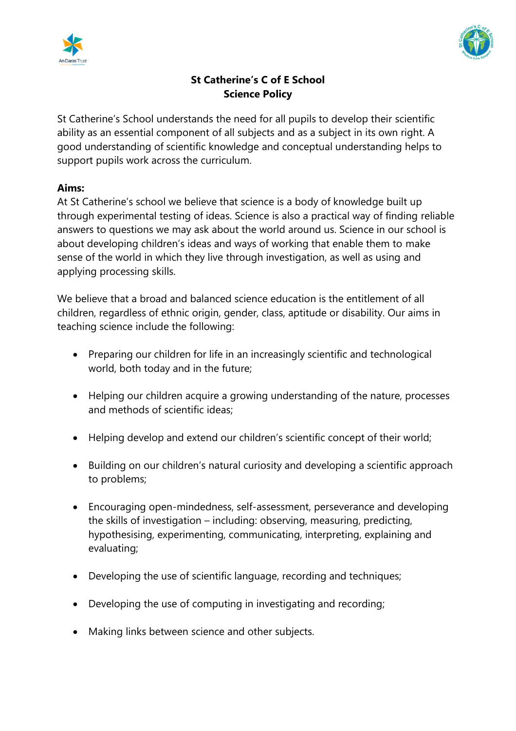



# **St Catherine's C of E School Science Policy**

St Catherine's School understands the need for all pupils to develop their scientific ability as an essential component of all subjects and as a subject in its own right. A good understanding of scientific knowledge and conceptual understanding helps to support pupils work across the curriculum.

## **Aims:**

At St Catherine's school we believe that science is a body of knowledge built up through experimental testing of ideas. Science is also a practical way of finding reliable answers to questions we may ask about the world around us. Science in our school is about developing children's ideas and ways of working that enable them to make sense of the world in which they live through investigation, as well as using and applying processing skills.

We believe that a broad and balanced science education is the entitlement of all children, regardless of ethnic origin, gender, class, aptitude or disability. Our aims in teaching science include the following:

- Preparing our children for life in an increasingly scientific and technological world, both today and in the future;
- Helping our children acquire a growing understanding of the nature, processes and methods of scientific ideas;
- Helping develop and extend our children's scientific concept of their world;
- Building on our children's natural curiosity and developing a scientific approach to problems;
- Encouraging open-mindedness, self-assessment, perseverance and developing the skills of investigation – including: observing, measuring, predicting, hypothesising, experimenting, communicating, interpreting, explaining and evaluating;
- Developing the use of scientific language, recording and techniques;
- Developing the use of computing in investigating and recording;
- Making links between science and other subjects.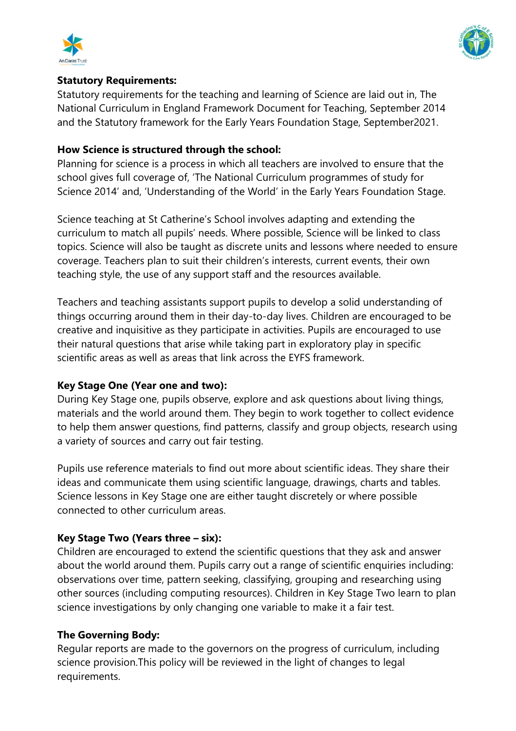



### **Statutory Requirements:**

Statutory requirements for the teaching and learning of Science are laid out in, The National Curriculum in England Framework Document for Teaching, September 2014 and the Statutory framework for the Early Years Foundation Stage, September2021.

## **How Science is structured through the school:**

Planning for science is a process in which all teachers are involved to ensure that the school gives full coverage of, 'The National Curriculum programmes of study for Science 2014' and, 'Understanding of the World' in the Early Years Foundation Stage.

Science teaching at St Catherine's School involves adapting and extending the curriculum to match all pupils' needs. Where possible, Science will be linked to class topics. Science will also be taught as discrete units and lessons where needed to ensure coverage. Teachers plan to suit their children's interests, current events, their own teaching style, the use of any support staff and the resources available.

Teachers and teaching assistants support pupils to develop a solid understanding of things occurring around them in their day-to-day lives. Children are encouraged to be creative and inquisitive as they participate in activities. Pupils are encouraged to use their natural questions that arise while taking part in exploratory play in specific scientific areas as well as areas that link across the EYFS framework.

## **Key Stage One (Year one and two):**

During Key Stage one, pupils observe, explore and ask questions about living things, materials and the world around them. They begin to work together to collect evidence to help them answer questions, find patterns, classify and group objects, research using a variety of sources and carry out fair testing.

Pupils use reference materials to find out more about scientific ideas. They share their ideas and communicate them using scientific language, drawings, charts and tables. Science lessons in Key Stage one are either taught discretely or where possible connected to other curriculum areas.

## **Key Stage Two (Years three – six):**

Children are encouraged to extend the scientific questions that they ask and answer about the world around them. Pupils carry out a range of scientific enquiries including: observations over time, pattern seeking, classifying, grouping and researching using other sources (including computing resources). Children in Key Stage Two learn to plan science investigations by only changing one variable to make it a fair test.

## **The Governing Body:**

Regular reports are made to the governors on the progress of curriculum, including science provision.This policy will be reviewed in the light of changes to legal requirements.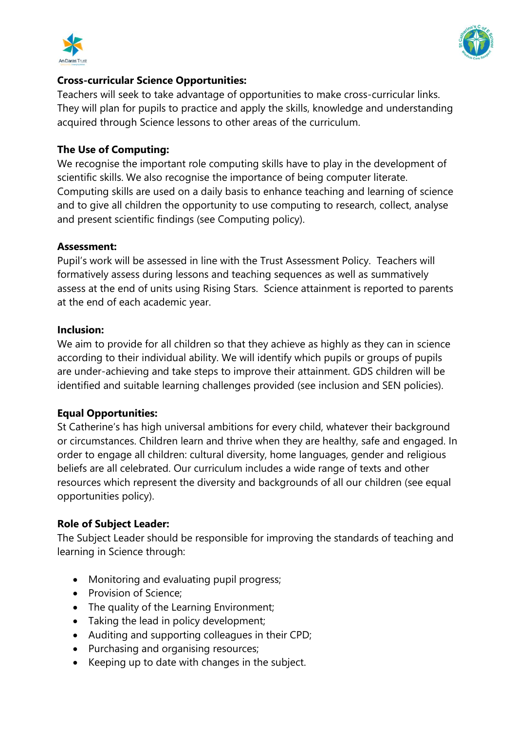



#### **Cross-curricular Science Opportunities:**

Teachers will seek to take advantage of opportunities to make cross-curricular links. They will plan for pupils to practice and apply the skills, knowledge and understanding acquired through Science lessons to other areas of the curriculum.

#### **The Use of Computing:**

We recognise the important role computing skills have to play in the development of scientific skills. We also recognise the importance of being computer literate. Computing skills are used on a daily basis to enhance teaching and learning of science and to give all children the opportunity to use computing to research, collect, analyse and present scientific findings (see Computing policy).

#### **Assessment:**

Pupil's work will be assessed in line with the Trust Assessment Policy. Teachers will formatively assess during lessons and teaching sequences as well as summatively assess at the end of units using Rising Stars. Science attainment is reported to parents at the end of each academic year.

#### **Inclusion:**

We aim to provide for all children so that they achieve as highly as they can in science according to their individual ability. We will identify which pupils or groups of pupils are under-achieving and take steps to improve their attainment. GDS children will be identified and suitable learning challenges provided (see inclusion and SEN policies).

### **Equal Opportunities:**

St Catherine's has high universal ambitions for every child, whatever their background or circumstances. Children learn and thrive when they are healthy, safe and engaged. In order to engage all children: cultural diversity, home languages, gender and religious beliefs are all celebrated. Our curriculum includes a wide range of texts and other resources which represent the diversity and backgrounds of all our children (see equal opportunities policy).

### **Role of Subject Leader:**

The Subject Leader should be responsible for improving the standards of teaching and learning in Science through:

- Monitoring and evaluating pupil progress;
- Provision of Science;
- The quality of the Learning Environment;
- Taking the lead in policy development;
- Auditing and supporting colleagues in their CPD;
- Purchasing and organising resources;
- Keeping up to date with changes in the subject.